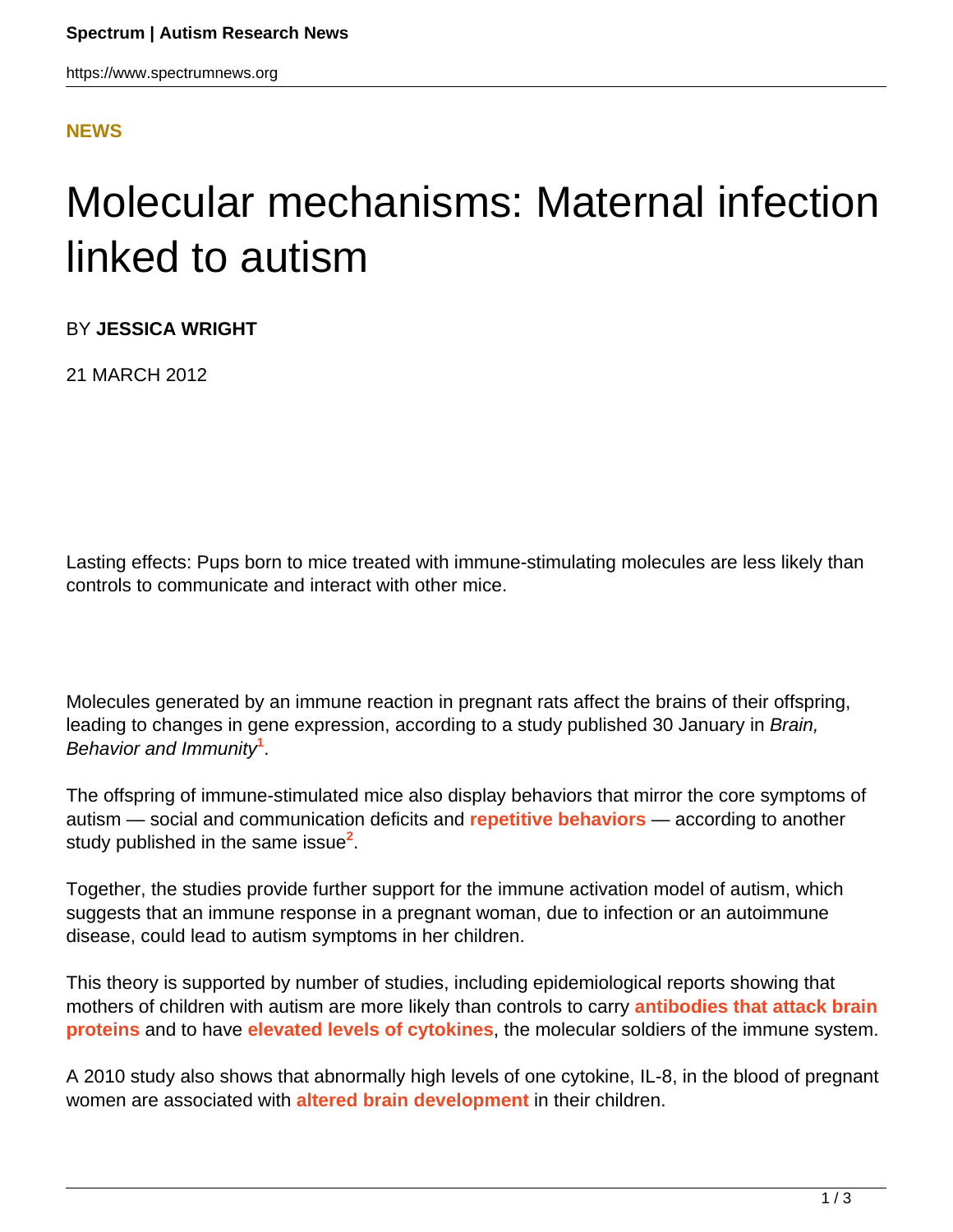## **[NEWS](HTTPS://WWW.SPECTRUMNEWS.ORG/NEWS/)**

## Molecular mechanisms: Maternal infection linked to autism

BY **JESSICA WRIGHT**

21 MARCH 2012

Lasting effects: Pups born to mice treated with immune-stimulating molecules are less likely than controls to communicate and interact with other mice.

Molecules generated by an immune reaction in pregnant rats affect the brains of their offspring, leading to changes in gene expression, according to a study published 30 January in Brain, Behavior and Immunity**<sup>1</sup>** .

The offspring of immune-stimulated mice also display behaviors that mirror the core symptoms of autism — social and communication deficits and **[repetitive behaviors](../../../resources/sfari-wiki/repetitive-behavior)** — according to another study published in the same issue**<sup>2</sup>** .

Together, the studies provide further support for the immune activation model of autism, which suggests that an immune response in a pregnant woman, due to infection or an autoimmune disease, could lead to autism symptoms in her children.

This theory is supported by number of studies, including epidemiological reports showing that mothers of children with autism are more likely than controls to carry **[antibodies that attack brain](https://www.spectrumnews.org/viewpoint/2012/maternal-anti-brain-antibodies-may-play-a-role-in-autism) [proteins](https://www.spectrumnews.org/viewpoint/2012/maternal-anti-brain-antibodies-may-play-a-role-in-autism)** and to have **[elevated levels of cytokines](https://www.spectrumnews.org/news/2011/studies-of-early-development-reveal-immune-link-to-autism)**, the molecular soldiers of the immune system.

A 2010 study also shows that abnormally high levels of one cytokine, IL-8, in the blood of pregnant women are associated with **[altered brain development](https://www.spectrumnews.org/news/2010/mothers-immune-response-alters-brain-structure)** in their children.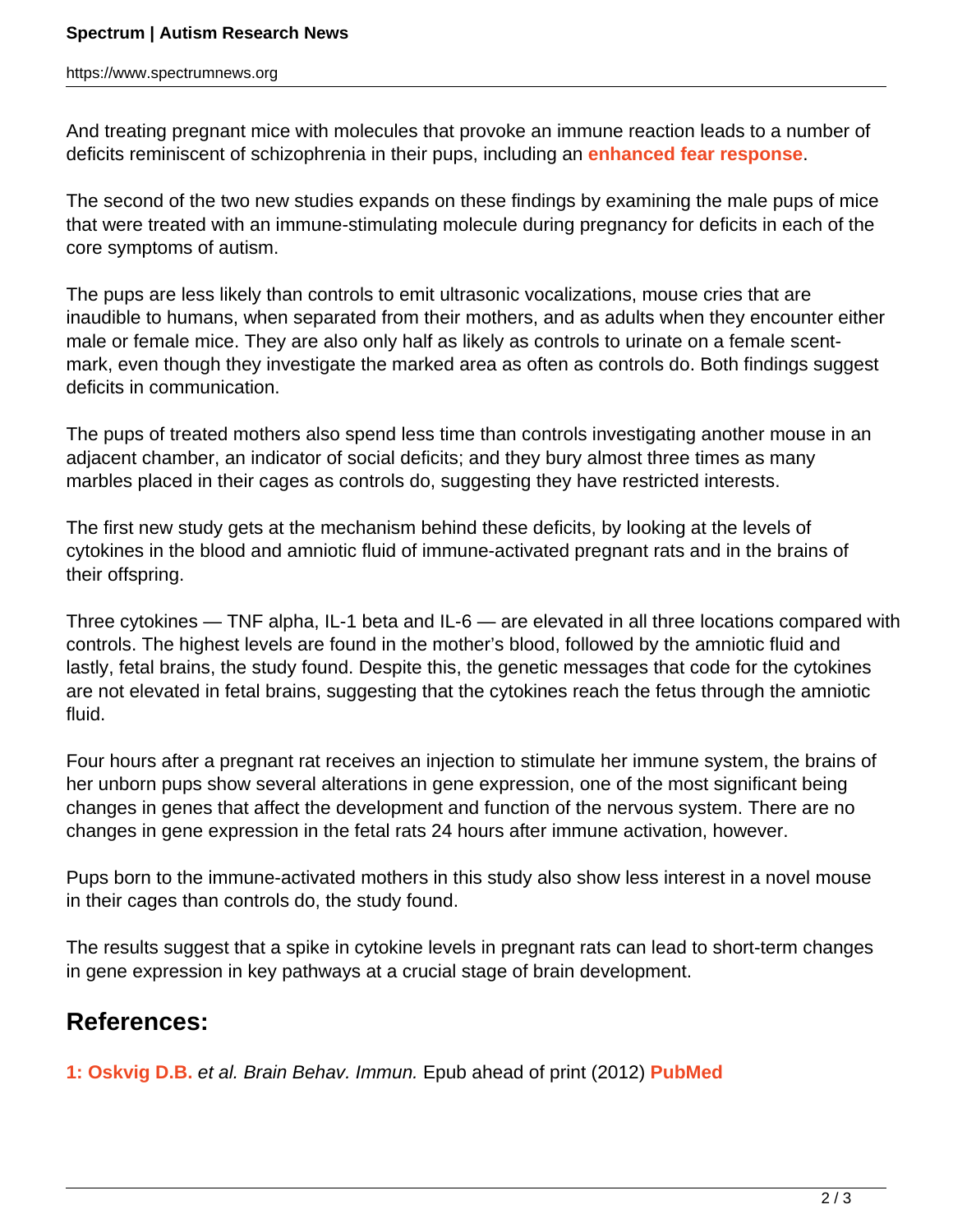## **Spectrum | Autism Research News**

https://www.spectrumnews.org

And treating pregnant mice with molecules that provoke an immune reaction leads to a number of deficits reminiscent of schizophrenia in their pups, including an **[enhanced fear response](https://www.spectrumnews.org/in-brief/2010/molecular-mechanisms-maternal-infection-linked-to-schizophrenia-in-mice)**.

The second of the two new studies expands on these findings by examining the male pups of mice that were treated with an immune-stimulating molecule during pregnancy for deficits in each of the core symptoms of autism.

The pups are less likely than controls to emit ultrasonic vocalizations, mouse cries that are inaudible to humans, when separated from their mothers, and as adults when they encounter either male or female mice. They are also only half as likely as controls to urinate on a female scentmark, even though they investigate the marked area as often as controls do. Both findings suggest deficits in communication.

The pups of treated mothers also spend less time than controls investigating another mouse in an adjacent chamber, an indicator of social deficits; and they bury almost three times as many marbles placed in their cages as controls do, suggesting they have restricted interests.

The first new study gets at the mechanism behind these deficits, by looking at the levels of cytokines in the blood and amniotic fluid of immune-activated pregnant rats and in the brains of their offspring.

Three cytokines — TNF alpha, IL-1 beta and IL-6 — are elevated in all three locations compared with controls. The highest levels are found in the mother's blood, followed by the amniotic fluid and lastly, fetal brains, the study found. Despite this, the genetic messages that code for the cytokines are not elevated in fetal brains, suggesting that the cytokines reach the fetus through the amniotic fluid.

Four hours after a pregnant rat receives an injection to stimulate her immune system, the brains of her unborn pups show several alterations in gene expression, one of the most significant being changes in genes that affect the development and function of the nervous system. There are no changes in gene expression in the fetal rats 24 hours after immune activation, however.

Pups born to the immune-activated mothers in this study also show less interest in a novel mouse in their cages than controls do, the study found.

The results suggest that a spike in cytokine levels in pregnant rats can lead to short-term changes in gene expression in key pathways at a crucial stage of brain development.

## **References:**

**1: Oskvig D.B.** et al. Brain Behav. Immun. Epub ahead of print (2012) **[PubMed](http://www.ncbi.nlm.nih.gov/pubmed/22310921)**